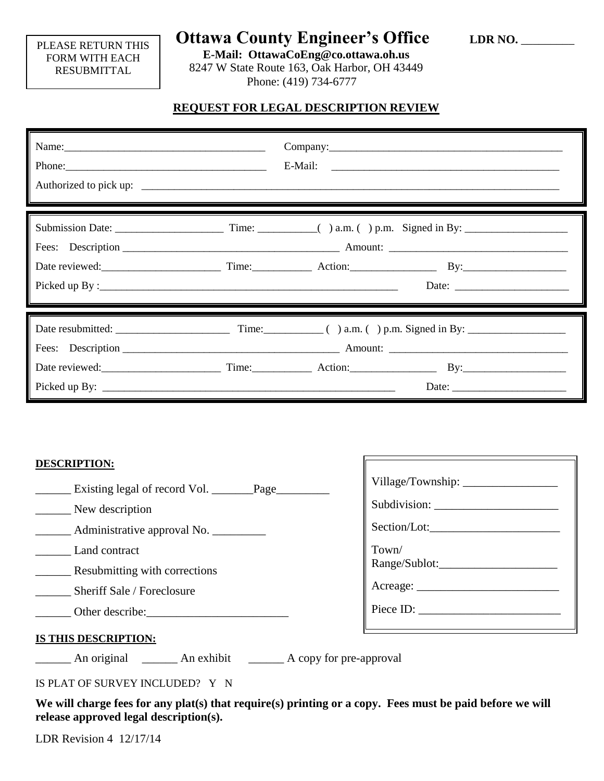### PLEASE RETURN THIS FORM WITH EACH RESUBMITTAL

# **Ottawa County Engineer's Office LDR NO. \_\_\_\_\_\_\_**

**E-Mail: OttawaCoEng@co.ottawa.oh.us** 8247 W State Route 163, Oak Harbor, OH 43449 Phone: (419) 734-6777

## **REQUEST FOR LEGAL DESCRIPTION REVIEW**

| Name: |  |  |
|-------|--|--|
|       |  |  |
|       |  |  |

#### **DESCRIPTION:**

| New description                      | Subdivision:         |
|--------------------------------------|----------------------|
| __ Administrative approval No.       | Section/Lot:         |
| Land contract                        | Town/                |
| Resubmitting with corrections        |                      |
| Sheriff Sale / Foreclosure           |                      |
| Other describe:                      | $\text{Piece ID:}\n$ |
| -0 -----0 --0 -- <del>----</del> --- |                      |

### **IS THIS DESCRIPTION:**

\_\_\_\_\_\_ An original \_\_\_\_\_\_ An exhibit \_\_\_\_\_\_ A copy for pre-approval

IS PLAT OF SURVEY INCLUDED? Y N

**We will charge fees for any plat(s) that require(s) printing or a copy. Fees must be paid before we will release approved legal description(s).**

LDR Revision 4 12/17/14